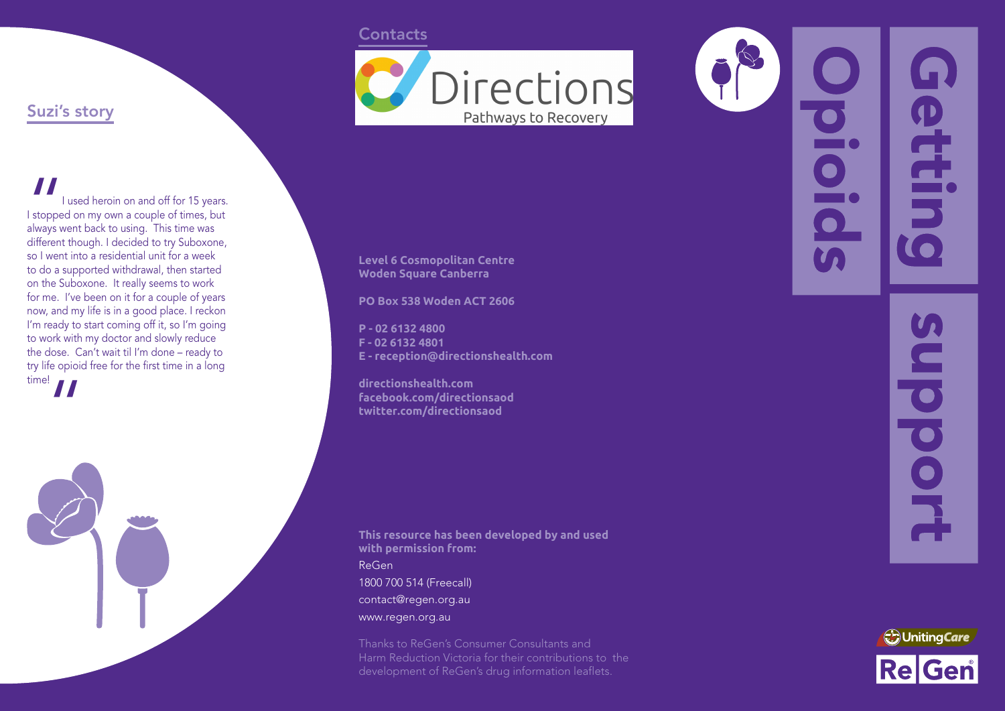### **Contacts**



# Suzi's story

" I used heroin on and off for 15 years. I stopped on my own a couple of times, but always went back to using. This time was different though. I decided to try Suboxone, so I went into a residential unit for a week to do a supported withdrawal, then started on the Suboxone. It really seems to work for me. I've been on it for a couple of years now, and my life is in a good place. I reckon I'm ready to start coming off it, so I'm going to work with my doctor and slowly reduce the dose. Can't wait til I'm done – ready to try life opioid free for the first time in a long



**Level 6 Cosmopolitan Centre Woden Square Canberra**

**PO Box 538 Woden ACT 2606**

**P - 02 6132 4800 F - 02 6132 4801 E - reception@directionshealth.com**

**directionshealth.com facebook.com/directionsaod twitter.com/directionsaod**

**This resource has been developed by and used with permission from:** ReGen 1800 700 514 (Freecall) contact@regen.org.au www.regen.org.au

Thanks to ReGen's Consumer Consultants and Harm Reduction Victoria for their contributions to the